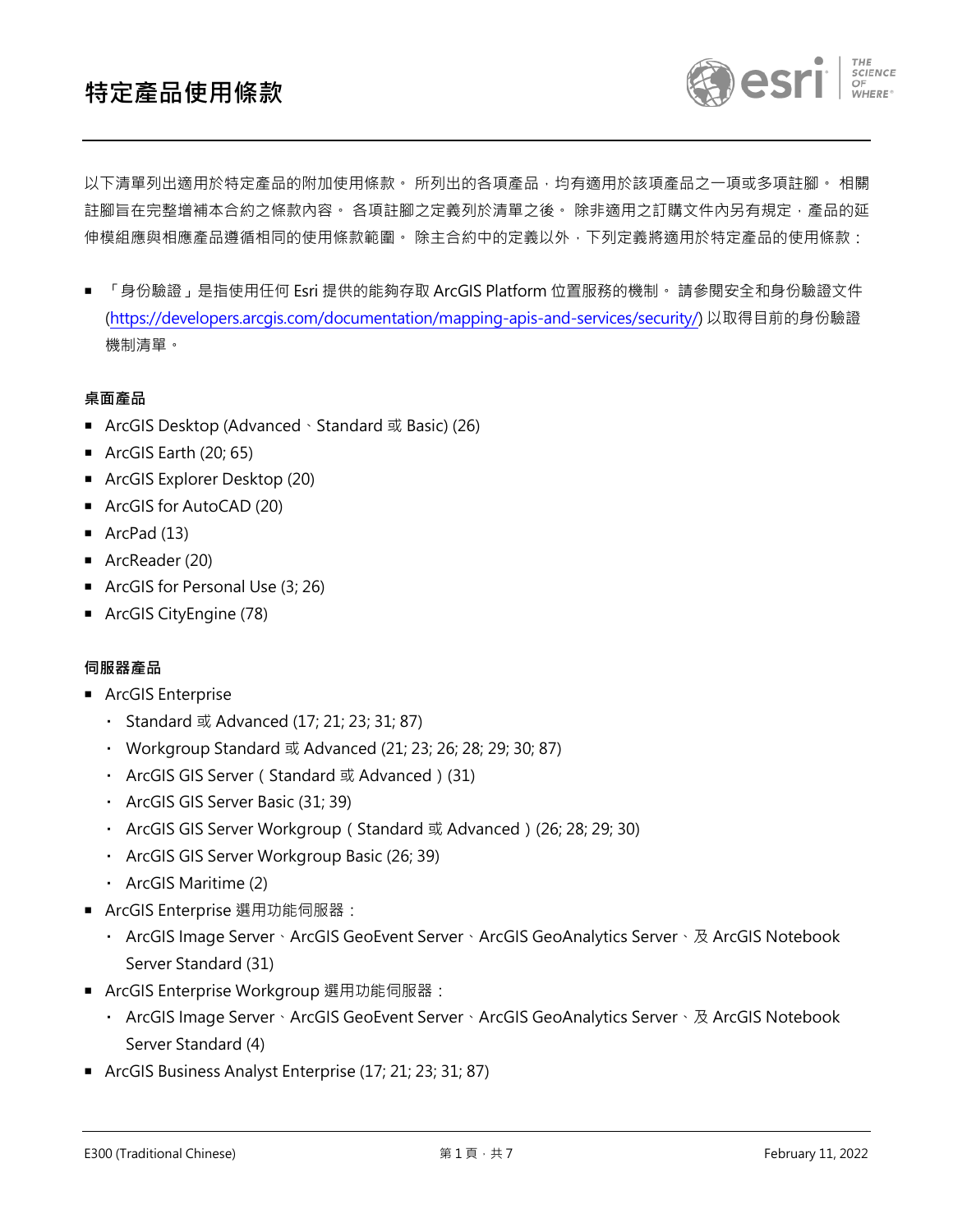

以下清單列出適用於特定產品的附加使用條款。 所列出的各項產品,均有適用於該項產品之一項或多項註腳。 相關 註腳旨在完整增補本合約之條款內容。 各項註腳之定義列於清單之後。 除非滴用之訂購文件内另有規定,產品的延 伸模組應與相應產品遵循相同的使用條款範圍。 除主合約中的定義以外,下列定義將適用於特定產品的使用條款:

 「身份驗證」是指使用任何 Esri 提供的能夠存取 ArcGIS Platform 位置服務的機制。 請參閱安全和身份驗證文件 [\(https://developers.arcgis.com/documentation/mapping-apis-and-services/security/\)](https://developers.arcgis.com/documentation/mapping-apis-and-services/security/) 以取得目前的身份驗證 機制清單。

## **桌面產品**

- ArcGIS Desktop (Advanced、Standard 或 Basic) (26)
- $\blacksquare$  ArcGIS Earth (20; 65)
- ArcGIS Explorer Desktop (20)
- ArcGIS for AutoCAD (20)
- $\blacksquare$  ArcPad (13)
- ArcReader (20)
- ArcGIS for Personal Use (3; 26)
- ArcGIS CityEngine (78)

#### **伺服器產品**

- **ArcGIS Enterprise** 
	- Standard 或 Advanced (17; 21; 23; 31; 87)
	- Workgroup Standard 或 Advanced (21; 23; 26; 28; 29; 30; 87)
	- ArcGIS GIS Server (Standard 或 Advanced ) (31)
	- ArcGIS GIS Server Basic (31; 39)
	- ArcGIS GIS Server Workgroup (Standard 或 Advanced) (26; 28; 29; 30)
	- ArcGIS GIS Server Workgroup Basic (26; 39)
	- ArcGIS Maritime (2)
- ArcGIS Enterprise 選用功能伺服器:
	- ArcGIS Image Server、ArcGIS GeoEvent Server、ArcGIS GeoAnalytics Server、及 ArcGIS Notebook Server Standard (31)
- ArcGIS Enterprise Workgroup 選用功能伺服器:
	- ArcGIS Image Server、ArcGIS GeoEvent Server、ArcGIS GeoAnalytics Server、及 ArcGIS Notebook Server Standard (4)
- ArcGIS Business Analyst Enterprise (17; 21; 23; 31; 87)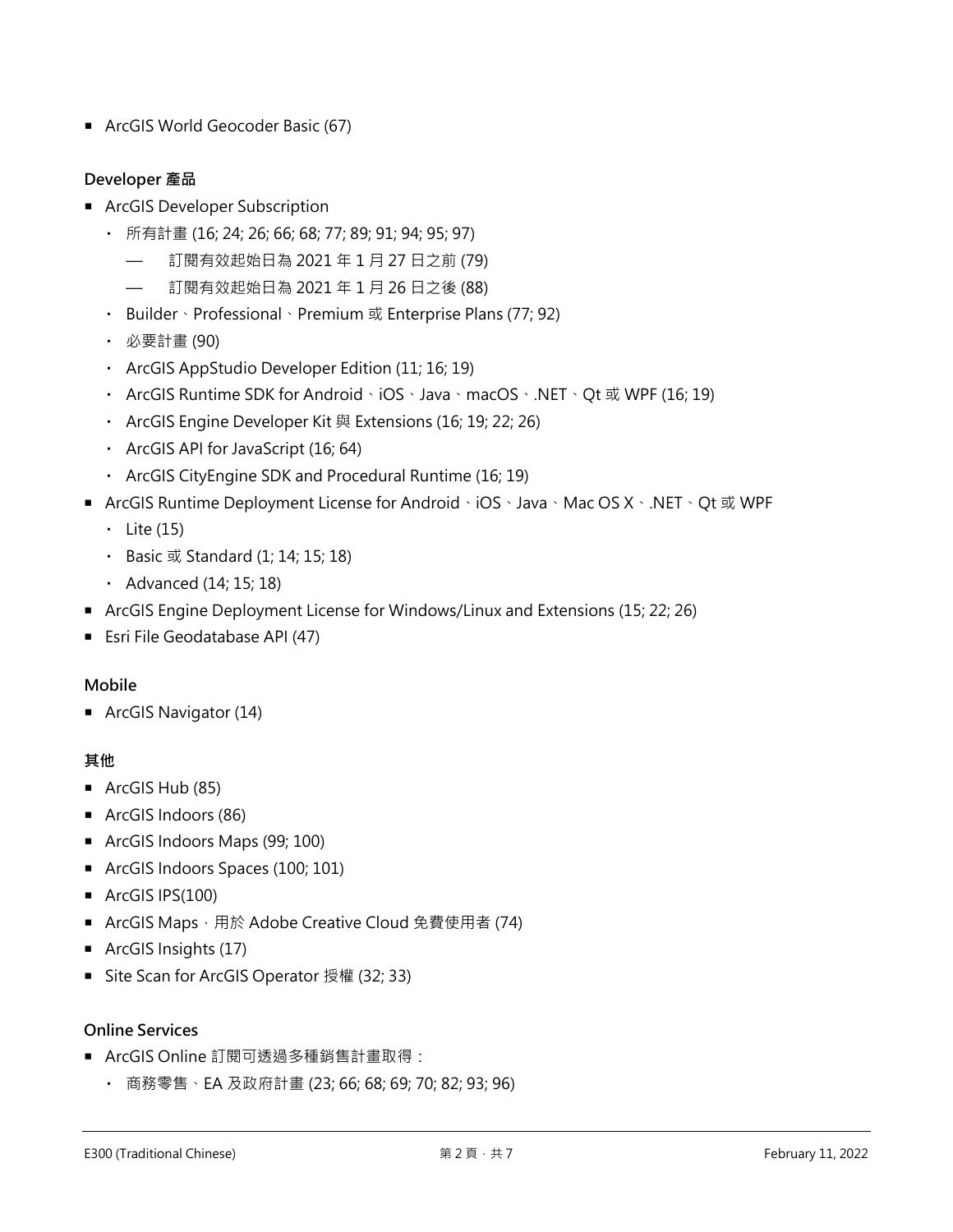■ ArcGIS World Geocoder Basic (67)

# **Developer 產品**

- ArcGIS Developer Subscription
	- 所有計畫 (16; 24; 26; 66; 68; 77; 89; 91; 94; 95; 97)
		- 訂閱有效起始日為 2021 年 1 月 27 日之前 (79)
		- 訂閱有效起始日為 2021 年 1 月 26 日之後 (88)
	- Builder、Professional、Premium 或 Enterprise Plans (77; 92)
	- 必要計畫 (90)
	- ArcGIS AppStudio Developer Edition (11; 16; 19)
	- ArcGIS Runtime SDK for Android、iOS、Java、macOS、.NET、Qt 或 WPF (16; 19)
	- ArcGIS Engine Developer Kit 與 Extensions (16; 19; 22; 26)
	- ArcGIS API for JavaScript (16; 64)
	- ArcGIS CityEngine SDK and Procedural Runtime (16; 19)
- ArcGIS Runtime Deployment License for Android、iOS、Java、Mac OS X、.NET、Qt 或 WPF
	- $\cdot$  Lite (15)
	- Basic 或 Standard (1; 14; 15; 18)
	- Advanced (14; 15; 18)
- ArcGIS Engine Deployment License for Windows/Linux and Extensions (15; 22; 26)
- **Esri File Geodatabase API (47)**

## **Mobile**

■ ArcGIS Navigator (14)

## **其他**

- ArcGIS Hub (85)
- **ArcGIS Indoors (86)**
- **ArcGIS Indoors Maps (99; 100)**
- ArcGIS Indoors Spaces (100; 101)
- ArcGIS IPS(100)
- ArcGIS Maps, 用於 Adobe Creative Cloud 免費使用者 (74)
- ArcGIS Insights (17)
- Site Scan for ArcGIS Operator 授權 (32; 33)

## **Online Services**

- ArcGIS Online 訂閱可透過多種銷售計畫取得:
	- 商務零售、EA 及政府計畫 (23; 66; 68; 69; 70; 82; 93; 96)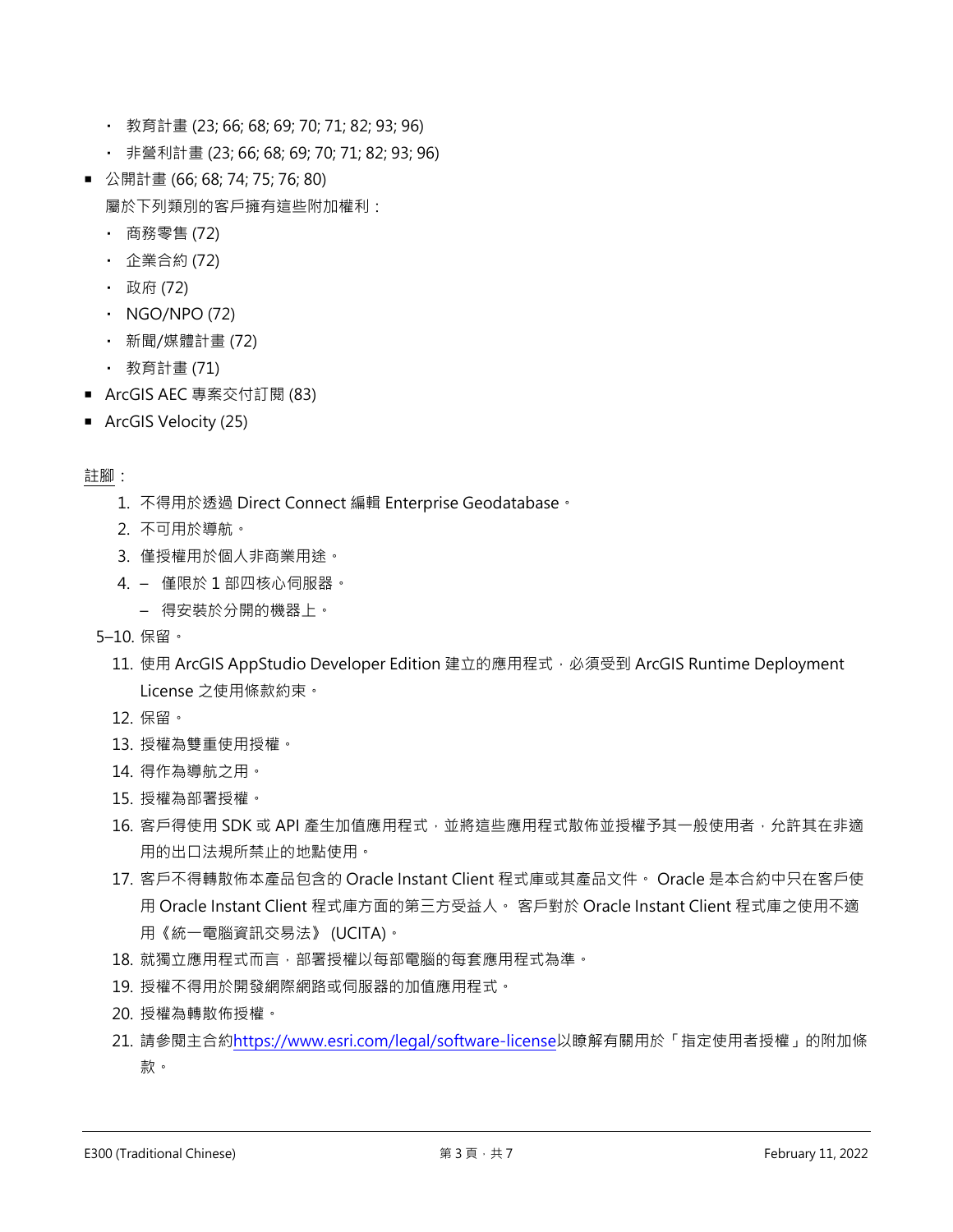- 教育計畫 (23; 66; 68; 69; 70; 71; 82; 93; 96)
- 非營利計畫 (23; 66; 68; 69; 70; 71; 82; 93; 96)
- 公開計畫 (66; 68; 74; 75; 76; 80) 屬於下列類別的客戶擁有這些附加權利:
	- 商務零售 (72)
	- 企業合約 (72)
	- 政府 (72)
	- $\cdot$  NGO/NPO (72)
	- 新聞/媒體計畫 (72)
	- 教育計畫 (71)
- ArcGIS AEC 專案交付訂閱 (83)
- ArcGIS Velocity (25)

- 1. 不得用於透過 Direct Connect 編輯 Enterprise Geodatabase。
- 2. 不可用於導航。
- 3. 僅授權用於個人非商業用途。
- 4. 僅限於 1 部四核心伺服器。
	- 得安裝於分開的機器上。
- 5–10. 保留。
	- 11. 使用 ArcGIS AppStudio Developer Edition 建立的應用程式, 必須受到 ArcGIS Runtime Deployment License 之使用條款約束。
	- 12. 保留。
	- 13. 授權為雙重使用授權。
	- 14. 得作為導航之用。
	- 15. 授權為部署授權。
	- 16. 客戶得使用 SDK 或 API 產生加值應用程式,並將這些應用程式散佈並授權予其一般使用者,允許其在非適 用的出口法規所禁止的地點使用。
	- 17. 客戶不得轉散佈本產品包含的 Oracle Instant Client 程式庫或其產品文件。 Oracle 是本合約中只在客戶使 用 Oracle Instant Client 程式庫方面的第三方受益人。 客戶對於 Oracle Instant Client 程式庫之使用不適 用《統一電腦資訊交易法》 (UCITA)。
	- 18. 就獨立應用程式而言,部署授權以每部電腦的每套應用程式為準。
	- 19. 授權不得用於開發網際網路或伺服器的加值應用程式。
	- 20. 授權為轉散佈授權。
	- 21. 請參閱主合約<https://www.esri.com/legal/software-license>以瞭解有關用於「指定使用者授權」的附加條 款。

註腳: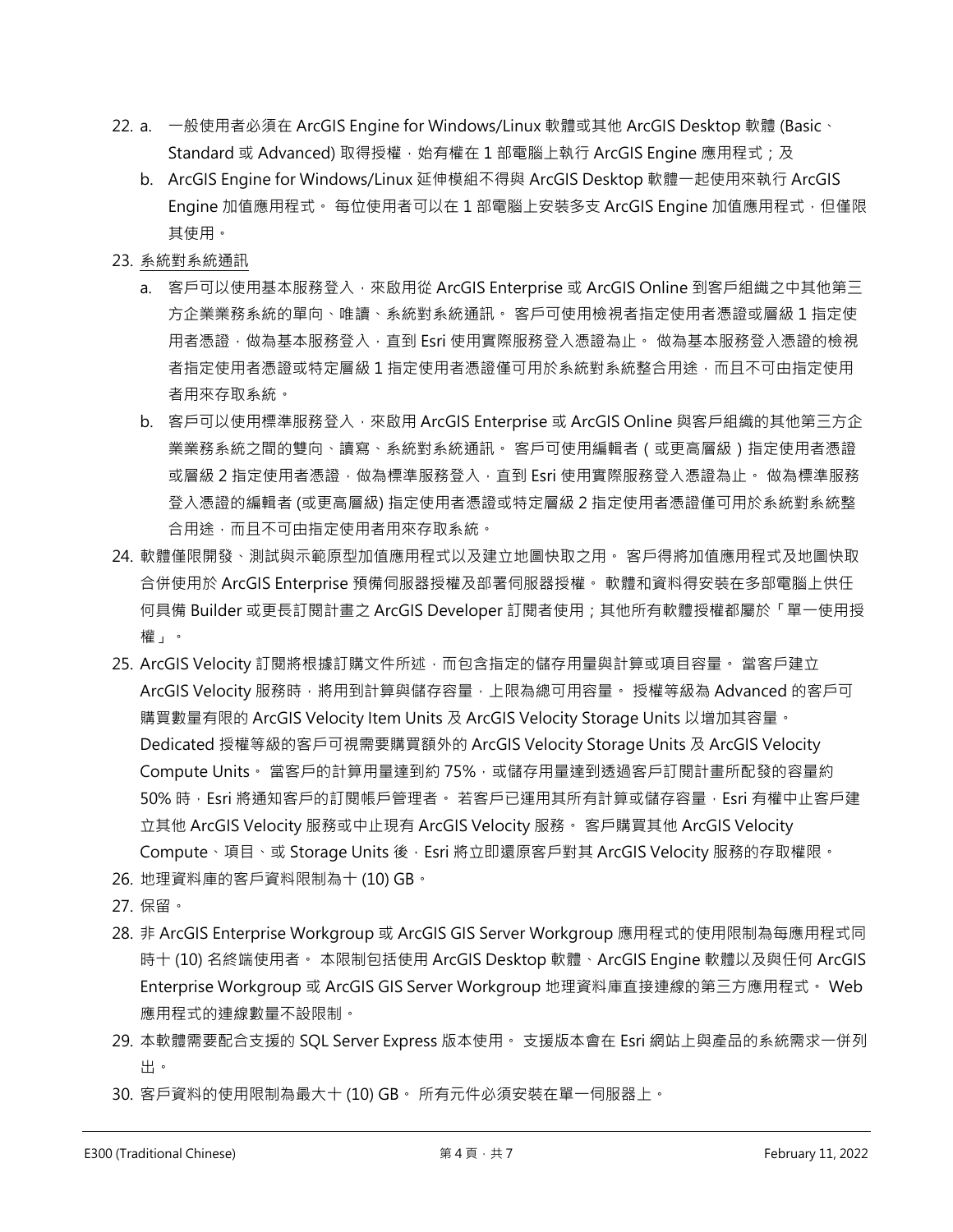- 22. a. 一般使用者必須在 ArcGIS Engine for Windows/Linux 軟體或其他 ArcGIS Desktop 軟體 (Basic、 Standard 或 Advanced) 取得授權, 始有權在 1 部電腦上執行 ArcGIS Engine 應用程式; 及
	- b. ArcGIS Engine for Windows/Linux 延伸模組不得與 ArcGIS Desktop 軟體一起使用來執行 ArcGIS Engine 加值應用程式。 每位使用者可以在 1 部電腦上安裝多支 ArcGIS Engine 加值應用程式, 但僅限 其使用。
- 23. 系統對系統通訊
	- a. 客戶可以使用基本服務登入,來啟用從 ArcGIS Enterprise 或 ArcGIS Online 到客戶組織之中其他第三 方企業業務系統的單向、唯讀、系統對系統通訊。 客戶可使用檢視者指定使用者憑證或層級 1 指定使 用者憑證,做為基本服務登入,直到 Esri 使用實際服務登入憑證為止。 做為基本服務登入憑證的檢視 者指定使用者憑證或特定層級 1 指定使用者憑證僅可用於系統對系統整合用途,而且不可由指定使用 者用來存取系統。
	- b. 客戶可以使用標準服務登入,來啟用 ArcGIS Enterprise 或 ArcGIS Online 與客戶組織的其他第三方企 業業務系統之間的雙向、讀寫、系統對系統通訊。 客戶可使用編輯者 ( 或更高層級 ) 指定使用者憑證 或層級 2 指定使用者憑證 · 做為標準服務登入 · 直到 Esri 使用實際服務登入憑證為止。 做為標準服務 登入憑證的編輯者 (或更高層級) 指定使用者憑證或特定層級 2 指定使用者憑證僅可用於系統對系統整 合用途,而且不可由指定使用者用來存取系統。
- 24. 軟體僅限開發、測試與示範原型加值應用程式以及建立地圖快取之用。 客戶得將加值應用程式及地圖快取 合併使用於 ArcGIS Enterprise 預備伺服器授權及部署伺服器授權。 軟體和資料得安裝在多部電腦上供任 何具備 Builder 或更長訂閱計畫之 ArcGIS Developer 訂閱者使用;其他所有軟體授權都屬於「單一使用授 權」。
- 25. ArcGIS Velocity 訂閱將根據訂購文件所述,而包含指定的儲存用量與計算或項目容量。 當客戶建立 ArcGIS Velocity 服務時,將用到計算與儲存容量,上限為總可用容量。 授權等級為 Advanced 的客戶可 購買數量有限的 ArcGIS Velocity Item Units 及 ArcGIS Velocity Storage Units 以增加其容量。 Dedicated 授權等級的客戶可視需要購買額外的 ArcGIS Velocity Storage Units 及 ArcGIS Velocity Compute Units。 當客戶的計算用量達到約 75%, 或儲存用量達到透過客戶訂閱計畫所配發的容量約 50% 時,Esri 將通知客戶的訂閱帳戶管理者。 若客戶已運用其所有計算或儲存容量,Esri 有權中止客戶建 立其他 ArcGIS Velocity 服務或中止現有 ArcGIS Velocity 服務。 客戶購買其他 ArcGIS Velocity Compute、項目、或 Storage Units 後, Esri 將立即還原客戶對其 ArcGIS Velocity 服務的存取權限。
- 26. 地理資料庫的客戶資料限制為十 (10) GB。
- 27. 保留。
- 28. 非 ArcGIS Enterprise Workgroup 或 ArcGIS GIS Server Workgroup 應用程式的使用限制為每應用程式同 時十 (10) 名終端使用者。 本限制包括使用 ArcGIS Desktop 軟體、ArcGIS Engine 軟體以及與任何 ArcGIS Enterprise Workgroup 或 ArcGIS GIS Server Workgroup 地理資料庫直接連線的第三方應用程式。 Web 應用程式的連線數量不設限制。
- 29. 本軟體需要配合支援的 SQL Server Express 版本使用。 支援版本會在 Esri 網站上與產品的系統需求一併列 出。
- 30. 客戶資料的使用限制為最大十 (10) GB。 所有元件必須安裝在單一伺服器上。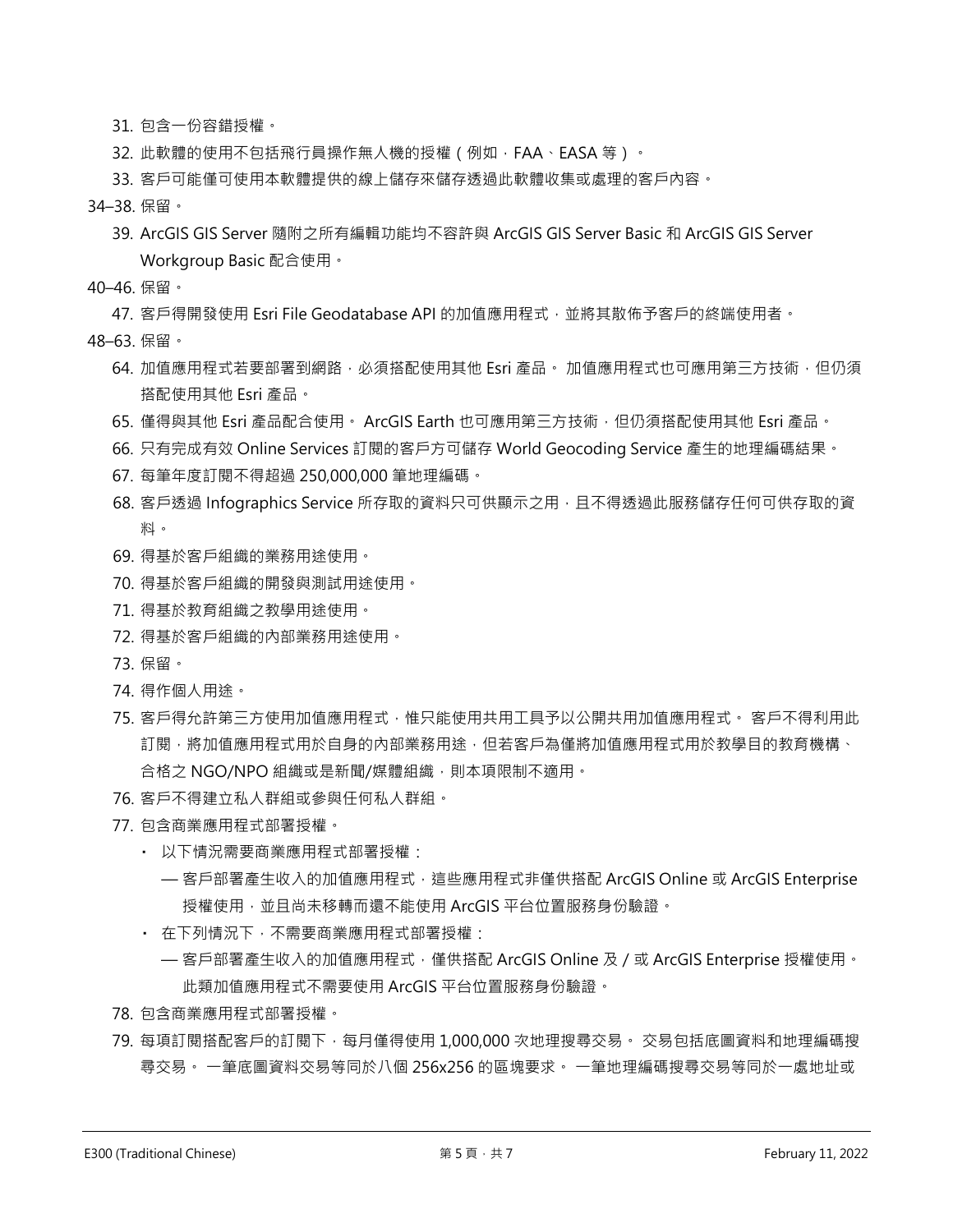- 31. 包含一份容錯授權。
- 32. 此軟體的使用不包括飛行員操作無人機的授權(例如, FAA、EASA 等)。
- 33. 客戶可能僅可使用本軟體提供的線上儲存來儲存透過此軟體收集或處理的客戶內容。
- 34–38. 保留。
	- 39. ArcGIS GIS Server 隨附之所有編輯功能均不容許與 ArcGIS GIS Server Basic 和 ArcGIS GIS Server Workgroup Basic 配合使用。
- 40–46. 保留。

47. 客戶得開發使用 Esri File Geodatabase API 的加值應用程式, 並將其散佈予客戶的終端使用者。

- 48–63. 保留。
	- 64. 加值應用程式若要部署到網路,必須搭配使用其他 Esri 產品。 加值應用程式也可應用第三方技術,但仍須 搭配使用其他 Esri 產品。
	- 65. 僅得與其他 Esri 產品配合使用。 ArcGIS Earth 也可應用第三方技術, 但仍須搭配使用其他 Esri 產品。
	- 66. 只有完成有效 Online Services 訂閱的客戶方可儲存 World Geocoding Service 產生的地理編碼結果。
	- 67. 每筆年度訂閱不得超過 250,000,000 筆地理編碼。
	- 68. 客戶透過 Infographics Service 所存取的資料只可供顯示之用,且不得透過此服務儲存任何可供存取的資 料。
	- 69. 得基於客戶組織的業務用途使用。
	- 70. 得基於客戶組織的開發與測試用途使用。
	- 71. 得基於教育組織之教學用途使用。
	- 72. 得基於客戶組織的內部業務用途使用。
	- 73. 保留。
	- 74. 得作個人用途。
	- 75. 客戶得允許第三方使用加值應用程式,惟只能使用共用工具予以公開共用加值應用程式。 客戶不得利用此 訂閱,將加值應用程式用於自身的內部業務用途,但若客戶為僅將加值應用程式用於教學目的教育機構、 合格之 NGO/NPO 組織或是新聞/媒體組織,則本項限制不適用。
	- 76. 客戶不得建立私人群組或參與任何私人群組。
	- 77. 包含商業應用程式部署授權。
		- 以下情況需要商業應用程式部署授權:
			- 客戶部署產生收入的加值應用程式,這些應用程式非僅供搭配 ArcGIS Online 或 ArcGIS Enterprise 授權使用,並且尚未移轉而還不能使用 ArcGIS 平台位置服務身份驗證。
		- 在下列情況下,不需要商業應用程式部署授權:
			- 客戶部署產生收入的加值應用程式,僅供搭配 ArcGIS Online 及 / 或 ArcGIS Enterprise 授權使用。 此類加值應用程式不需要使用 ArcGIS 平台位置服務身份驗證。
	- 78. 包含商業應用程式部署授權。
	- 79. 每項訂閱搭配客戶的訂閱下 · 每月僅得使用 1,000,000 次地理搜尋交易。 交易包括底圖資料和地理編碼搜 尋交易。 一筆底圖資料交易等同於八個 256x256 的區塊要求。 一筆地理編碼搜尋交易等同於一處地址或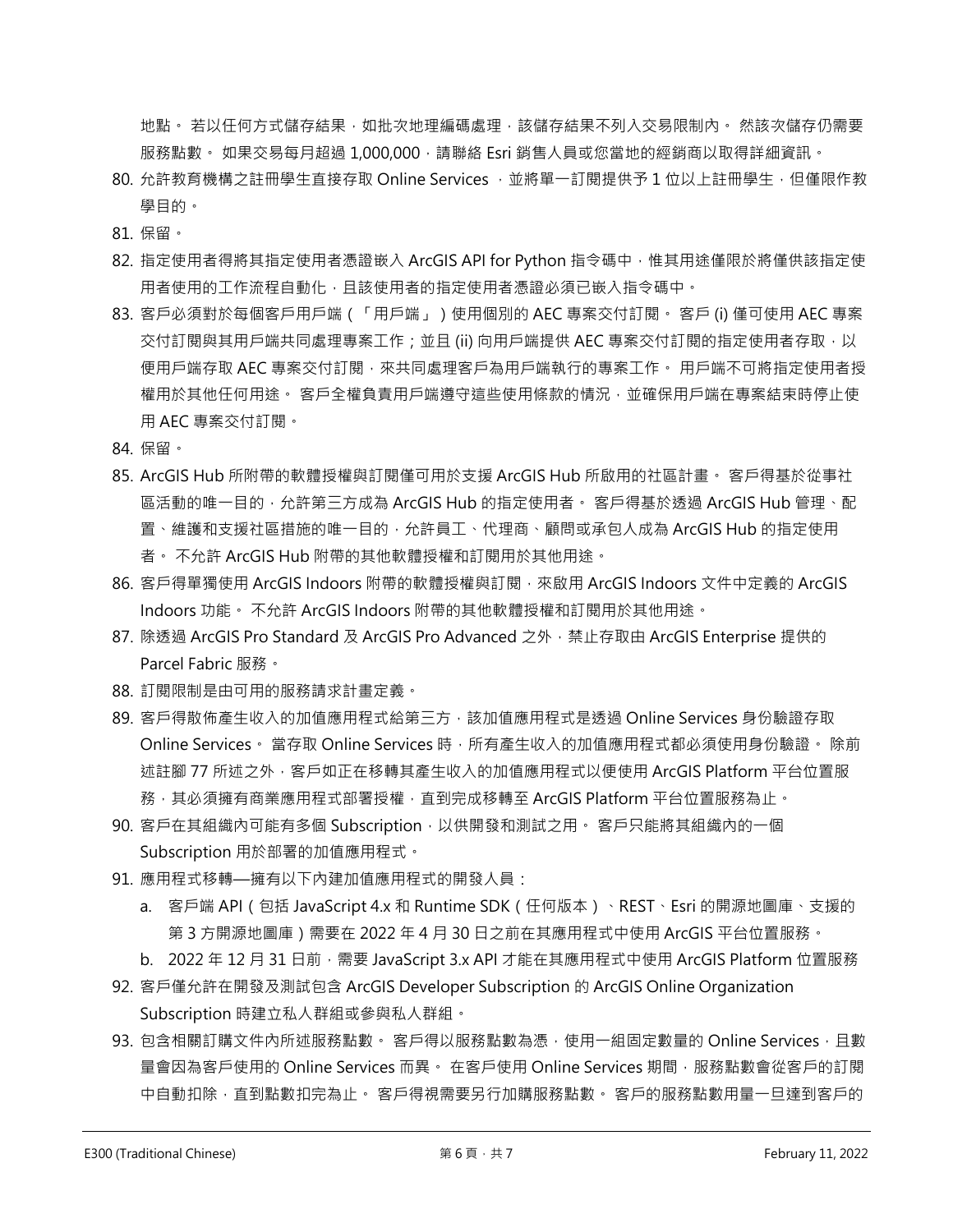地點。 若以任何方式儲存結果,如批次地理編碼處理,該儲存結果不列入交易限制內。 然該次儲存仍需要 服務點數。如果交易每月超過 1,000,000 ·請聯絡 Esri 銷售人員或您當地的經銷商以取得詳細資訊。

- 80. 允許教育機構之註冊學生直接存取 Online Services , 並將單一訂閱提供予 1 位以上註冊學生, 但僅限作教 學目的。
- 81. 保留。
- 82. 指定使用者得將其指定使用者憑證嵌入 ArcGIS API for Python 指令碼中, 惟其用途僅限於將僅供該指定使 用者使用的工作流程自動化,且該使用者的指定使用者憑證必須已嵌入指令碼中。
- 83. 客戶必須對於每個客戶用戶端(「用戶端」)使用個別的 AEC 專案交付訂閱。 客戶 (i) 僅可使用 AEC 專案 交付訂閱與其用戶端共同處理專案工作;並且 (ii) 向用戶端提供 AEC 專案交付訂閱的指定使用者存取,以 便用戶端存取 AEC 專案交付訂閱,來共同處理客戶為用戶端執行的專案工作。 用戶端不可將指定使用者授 權用於其他任何用途。 客戶全權負責用戶端遵守這些使用條款的情況,並確保用戶端在專案結束時停止使 用 AEC 專案交付訂閱。
- 84. 保留。
- 85. ArcGIS Hub 所附帶的軟體授權與訂閱僅可用於支援 ArcGIS Hub 所啟用的社區計畫。 客戶得基於從事社 區活動的唯一目的,允許第三方成為 ArcGIS Hub 的指定使用者。 客戶得基於透過 ArcGIS Hub 管理、配 置、維護和支援社區措施的唯一目的,允許員工、代理商、顧問或承包人成為 ArcGIS Hub 的指定使用 者。 不允許 ArcGIS Hub 附帶的其他軟體授權和訂閱用於其他用途。
- 86. 客戶得單獨使用 ArcGIS Indoors 附帶的軟體授權與訂閱, 來啟用 ArcGIS Indoors 文件中定義的 ArcGIS Indoors 功能。 不允許 ArcGIS Indoors 附帶的其他軟體授權和訂閱用於其他用途。
- 87. 除透過 ArcGIS Pro Standard 及 ArcGIS Pro Advanced 之外, 禁止存取由 ArcGIS Enterprise 提供的 Parcel Fabric 服務。
- 88. 訂閱限制是由可用的服務請求計畫定義。
- 89. 客戶得散佈產生收入的加值應用程式給第三方,該加值應用程式是透過 Online Services 身份驗證存取 Online Services。 當存取 Online Services 時, 所有產生收入的加值應用程式都必須使用身份驗證。 除前 述註腳 77 所述之外,客戶如正在移轉其產生收入的加值應用程式以便使用 ArcGIS Platform 平台位置服 務,其必須擁有商業應用程式部署授權,直到完成移轉至 ArcGIS Platform 平台位置服務為止。
- 90. 客戶在其組織內可能有多個 Subscription,以供開發和測試之用。 客戶只能將其組織內的一個 Subscription 用於部署的加值應用程式。
- 91. 應用程式移轉—擁有以下內建加值應用程式的開發人員:
	- a. 客戶端 API(包括 JavaScript 4.x 和 Runtime SDK(任何版本)、REST、Esri 的開源地圖庫、支援的 第 3 方開源地圖庫)需要在 2022 年 4 月 30 日之前在其應用程式中使用 ArcGIS 平台位置服務。
	- b. 2022年12月31日前,需要 JavaScript 3.x API 才能在其應用程式中使用 ArcGIS Platform 位置服務
- 92. 客戶僅允許在開發及測試包含 ArcGIS Developer Subscription 的 ArcGIS Online Organization Subscription 時建立私人群組或參與私人群組。
- 93. 包含相關訂購文件內所述服務點數。 客戶得以服務點數為憑,使用一組固定數量的 Online Services,且數 量會因為客戶使用的 Online Services 而異。 在客戶使用 Online Services 期間, 服務點數會從客戶的訂閱 中自動扣除,直到點數扣完為止。 客戶得視需要另行加購服務點數。 客戶的服務點數用量一旦達到客戶的